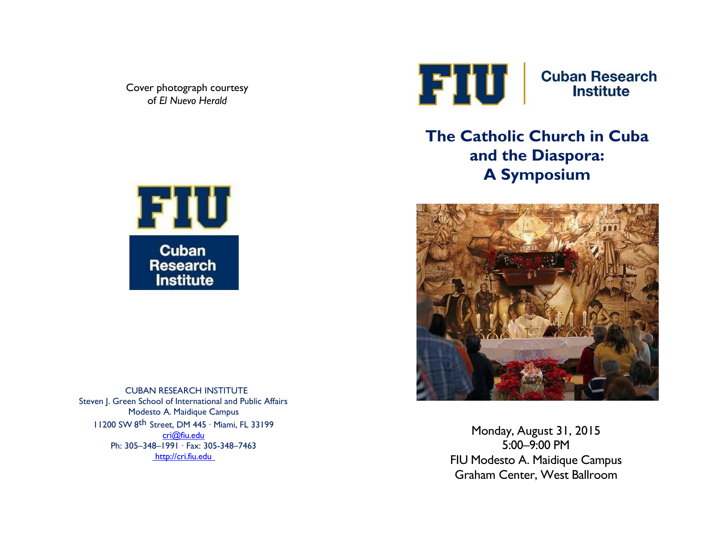Cover photograph courtesy of *El Nuevo Herald*



**Cuban Research Institute** 

## **The Catholic Church in Cuba and the Diaspora: A Symposium**



Monday, August 31, 2015 5:00–9:00 PM FIU Modesto A. Maidique Campus Graham Center, West Ballroom



CUBAN RESEARCH INSTITUTE Steven J. Green School of International and Public Affairs Modesto A. Maidique Campus 11200 SW 8th Street, DM 445 ∙ Miami, FL 33199 [cri@fiu.edu](mailto:cri@fiu.edu) Ph: 30[5–348–1991](mailto:cri@fiu.edu) ∙ Fax: 305-348–7463 [http://cri.fiu.edu](http://cri.fiu.edu/)